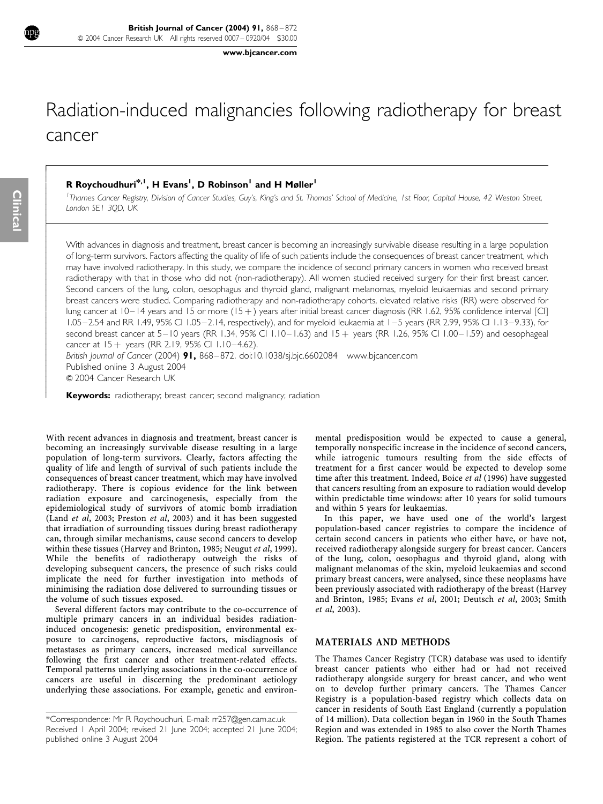www.bjcancer.com

# Radiation-induced malignancies following radiotherapy for breast cancer

## R Roychoudhuri $^{\ast, \mathsf{l}}$ , H Evans<sup>1</sup>, D Robinson<sup>1</sup> and H Møller<sup>1</sup>

1 Thames Cancer Registry, Division of Cancer Studies, Guy's, King's and St. Thomas' School of Medicine, 1st Floor, Capital House, 42 Weston Street, London SE1 3QD, UK

With advances in diagnosis and treatment, breast cancer is becoming an increasingly survivable disease resulting in a large population of long-term survivors. Factors affecting the quality of life of such patients include the consequences of breast cancer treatment, which may have involved radiotherapy. In this study, we compare the incidence of second primary cancers in women who received breast radiotherapy with that in those who did not (non-radiotherapy). All women studied received surgery for their first breast cancer. Second cancers of the lung, colon, oesophagus and thyroid gland, malignant melanomas, myeloid leukaemias and second primary breast cancers were studied. Comparing radiotherapy and non-radiotherapy cohorts, elevated relative risks (RR) were observed for lung cancer at 10-14 years and 15 or more (15+) years after initial breast cancer diagnosis (RR 1.62, 95% confidence interval [CI] 1.05 – 2.54 and RR 1.49, 95% CI 1.05 – 2.14, respectively), and for myeloid leukaemia at 1 – 5 years (RR 2.99, 95% CI 1.13 – 9.33), for second breast cancer at 5-10 years (RR 1.34, 95% CI 1.10-1.63) and 15 + years (RR 1.26, 95% CI 1.00-1.59) and oesophageal cancer at  $15 +$  years (RR 2.19, 95% CI 1.10 – 4.62).

British Journal of Cancer (2004)  $91, 868 - 872$ . doi:10.1038/sj.bjc.6602084 www.bjcancer.com Published online 3 August 2004 & 2004 Cancer Research UK

**Keywords:** radiotherapy; breast cancer; second malignancy; radiation

With recent advances in diagnosis and treatment, breast cancer is becoming an increasingly survivable disease resulting in a large population of long-term survivors. Clearly, factors affecting the quality of life and length of survival of such patients include the consequences of breast cancer treatment, which may have involved radiotherapy. There is copious evidence for the link between radiation exposure and carcinogenesis, especially from the epidemiological study of survivors of atomic bomb irradiation (Land et al, 2003; Preston et al, 2003) and it has been suggested that irradiation of surrounding tissues during breast radiotherapy can, through similar mechanisms, cause second cancers to develop within these tissues (Harvey and Brinton, 1985; Neugut et al, 1999). While the benefits of radiotherapy outweigh the risks of developing subsequent cancers, the presence of such risks could implicate the need for further investigation into methods of minimising the radiation dose delivered to surrounding tissues or the volume of such tissues exposed.

Several different factors may contribute to the co-occurrence of multiple primary cancers in an individual besides radiationinduced oncogenesis: genetic predisposition, environmental exposure to carcinogens, reproductive factors, misdiagnosis of metastases as primary cancers, increased medical surveillance following the first cancer and other treatment-related effects. Temporal patterns underlying associations in the co-occurrence of cancers are useful in discerning the predominant aetiology underlying these associations. For example, genetic and environmental predisposition would be expected to cause a general, temporally nonspecific increase in the incidence of second cancers, while iatrogenic tumours resulting from the side effects of treatment for a first cancer would be expected to develop some time after this treatment. Indeed, Boice et al (1996) have suggested that cancers resulting from an exposure to radiation would develop within predictable time windows: after 10 years for solid tumours and within 5 years for leukaemias.

In this paper, we have used one of the world's largest population-based cancer registries to compare the incidence of certain second cancers in patients who either have, or have not, received radiotherapy alongside surgery for breast cancer. Cancers of the lung, colon, oesophagus and thyroid gland, along with malignant melanomas of the skin, myeloid leukaemias and second primary breast cancers, were analysed, since these neoplasms have been previously associated with radiotherapy of the breast (Harvey and Brinton, 1985; Evans et al, 2001; Deutsch et al, 2003; Smith et al, 2003).

### MATERIALS AND METHODS

The Thames Cancer Registry (TCR) database was used to identify breast cancer patients who either had or had not received radiotherapy alongside surgery for breast cancer, and who went on to develop further primary cancers. The Thames Cancer Registry is a population-based registry which collects data on cancer in residents of South East England (currently a population of 14 million). Data collection began in 1960 in the South Thames Region and was extended in 1985 to also cover the North Thames Region. The patients registered at the TCR represent a cohort of

í I I

ł I I ļ ľ ł

I I I I I

ł ł I I I ł

I I

Received 1 April 2004; revised 21 June 2004; accepted 21 June 2004; published online 3 August 2004 \*Correspondence: Mr R Roychoudhuri, E-mail: rr257@gen.cam.ac.uk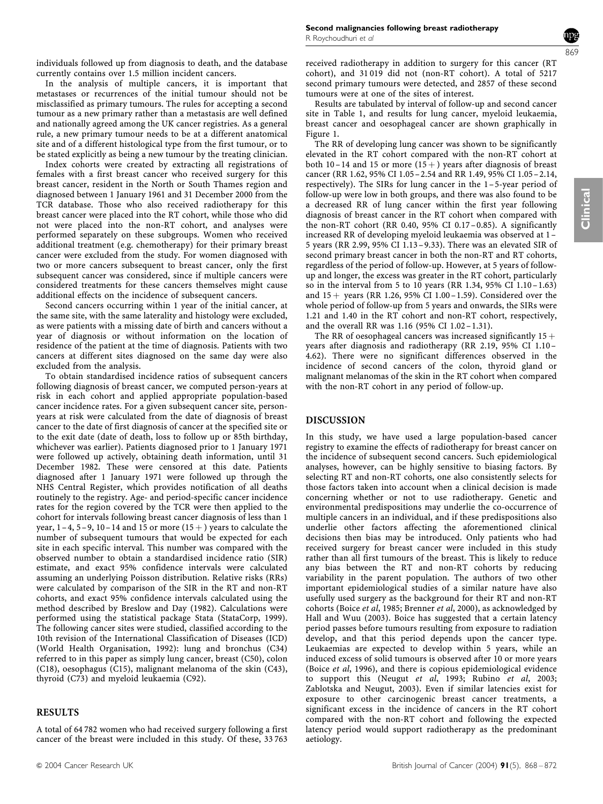Clinical

individuals followed up from diagnosis to death, and the database currently contains over 1.5 million incident cancers.

In the analysis of multiple cancers, it is important that metastases or recurrences of the initial tumour should not be misclassified as primary tumours. The rules for accepting a second tumour as a new primary rather than a metastasis are well defined and nationally agreed among the UK cancer registries. As a general rule, a new primary tumour needs to be at a different anatomical site and of a different histological type from the first tumour, or to be stated explicitly as being a new tumour by the treating clinician.

Index cohorts were created by extracting all registrations of females with a first breast cancer who received surgery for this breast cancer, resident in the North or South Thames region and diagnosed between 1 January 1961 and 31 December 2000 from the TCR database. Those who also received radiotherapy for this breast cancer were placed into the RT cohort, while those who did not were placed into the non-RT cohort, and analyses were performed separately on these subgroups. Women who received additional treatment (e.g. chemotherapy) for their primary breast cancer were excluded from the study. For women diagnosed with two or more cancers subsequent to breast cancer, only the first subsequent cancer was considered, since if multiple cancers were considered treatments for these cancers themselves might cause additional effects on the incidence of subsequent cancers.

Second cancers occurring within 1 year of the initial cancer, at the same site, with the same laterality and histology were excluded, as were patients with a missing date of birth and cancers without a year of diagnosis or without information on the location of residence of the patient at the time of diagnosis. Patients with two cancers at different sites diagnosed on the same day were also excluded from the analysis.

To obtain standardised incidence ratios of subsequent cancers following diagnosis of breast cancer, we computed person-years at risk in each cohort and applied appropriate population-based cancer incidence rates. For a given subsequent cancer site, personyears at risk were calculated from the date of diagnosis of breast cancer to the date of first diagnosis of cancer at the specified site or to the exit date (date of death, loss to follow up or 85th birthday, whichever was earlier). Patients diagnosed prior to 1 January 1971 were followed up actively, obtaining death information, until 31 December 1982. These were censored at this date. Patients diagnosed after 1 January 1971 were followed up through the NHS Central Register, which provides notification of all deaths routinely to the registry. Age- and period-specific cancer incidence rates for the region covered by the TCR were then applied to the cohort for intervals following breast cancer diagnosis of less than 1 year,  $1-4$ ,  $5-9$ ,  $10-14$  and  $15$  or more  $(15+)$  years to calculate the number of subsequent tumours that would be expected for each site in each specific interval. This number was compared with the observed number to obtain a standardised incidence ratio (SIR) estimate, and exact 95% confidence intervals were calculated assuming an underlying Poisson distribution. Relative risks (RRs) were calculated by comparison of the SIR in the RT and non-RT cohorts, and exact 95% confidence intervals calculated using the method described by Breslow and Day (1982). Calculations were performed using the statistical package Stata (StataCorp, 1999). The following cancer sites were studied, classified according to the 10th revision of the International Classification of Diseases (ICD) (World Health Organisation, 1992): lung and bronchus (C34) referred to in this paper as simply lung cancer, breast (C50), colon (C18), oesophagus (C15), malignant melanoma of the skin (C43), thyroid (C73) and myeloid leukaemia (C92).

# RESULTS

A total of 64 782 women who had received surgery following a first cancer of the breast were included in this study. Of these, 33 763

received radiotherapy in addition to surgery for this cancer (RT cohort), and 31 019 did not (non-RT cohort). A total of 5217 second primary tumours were detected, and 2857 of these second tumours were at one of the sites of interest.

Results are tabulated by interval of follow-up and second cancer site in Table 1, and results for lung cancer, myeloid leukaemia, breast cancer and oesophageal cancer are shown graphically in Figure 1.

The RR of developing lung cancer was shown to be significantly elevated in the RT cohort compared with the non-RT cohort at both 10-14 and 15 or more (15+) years after diagnosis of breast cancer (RR 1.62, 95% CI 1.05 –2.54 and RR 1.49, 95% CI 1.05 –2.14, respectively). The SIRs for lung cancer in the 1 –5-year period of follow-up were low in both groups, and there was also found to be a decreased RR of lung cancer within the first year following diagnosis of breast cancer in the RT cohort when compared with the non-RT cohort (RR 0.40, 95% CI 0.17-0.85). A significantly increased RR of developing myeloid leukaemia was observed at 1 – 5 years (RR 2.99, 95% CI 1.13 –9.33). There was an elevated SIR of second primary breast cancer in both the non-RT and RT cohorts, regardless of the period of follow-up. However, at 5 years of followup and longer, the excess was greater in the RT cohort, particularly so in the interval from 5 to 10 years (RR 1.34, 95% CI 1.10 –1.63) and  $15 +$  years (RR 1.26, 95% CI 1.00 – 1.59). Considered over the whole period of follow-up from 5 years and onwards, the SIRs were 1.21 and 1.40 in the RT cohort and non-RT cohort, respectively, and the overall RR was 1.16 (95% CI 1.02 –1.31).

The RR of oesophageal cancers was increased significantly  $15 +$ years after diagnosis and radiotherapy (RR 2.19, 95% CI 1.10-4.62). There were no significant differences observed in the incidence of second cancers of the colon, thyroid gland or malignant melanomas of the skin in the RT cohort when compared with the non-RT cohort in any period of follow-up.

## DISCUSSION

In this study, we have used a large population-based cancer registry to examine the effects of radiotherapy for breast cancer on the incidence of subsequent second cancers. Such epidemiological analyses, however, can be highly sensitive to biasing factors. By selecting RT and non-RT cohorts, one also consistently selects for those factors taken into account when a clinical decision is made concerning whether or not to use radiotherapy. Genetic and environmental predispositions may underlie the co-occurrence of multiple cancers in an individual, and if these predispositions also underlie other factors affecting the aforementioned clinical decisions then bias may be introduced. Only patients who had received surgery for breast cancer were included in this study rather than all first tumours of the breast. This is likely to reduce any bias between the RT and non-RT cohorts by reducing variability in the parent population. The authors of two other important epidemiological studies of a similar nature have also usefully used surgery as the background for their RT and non-RT cohorts (Boice et al, 1985; Brenner et al, 2000), as acknowledged by Hall and Wuu (2003). Boice has suggested that a certain latency period passes before tumours resulting from exposure to radiation develop, and that this period depends upon the cancer type. Leukaemias are expected to develop within 5 years, while an induced excess of solid tumours is observed after 10 or more years (Boice et al, 1996), and there is copious epidemiological evidence to support this (Neugut et al, 1993; Rubino et al, 2003; Zablotska and Neugut, 2003). Even if similar latencies exist for exposure to other carcinogenic breast cancer treatments, a significant excess in the incidence of cancers in the RT cohort compared with the non-RT cohort and following the expected latency period would support radiotherapy as the predominant aetiology.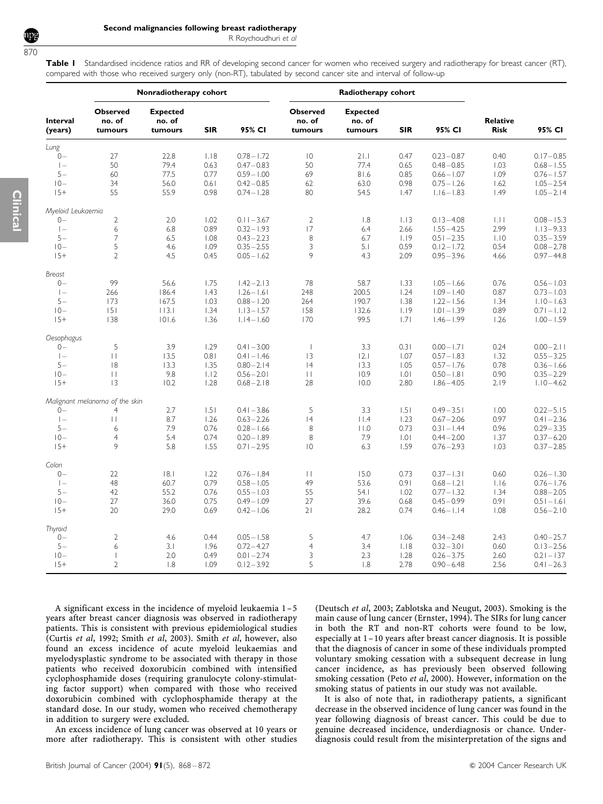R Roychoudhuri et al

Table I Standardised incidence ratios and RR of developing second cancer for women who received surgery and radiotherapy for breast cancer (RT), compared with those who received surgery only (non-RT), tabulated by second cancer site and interval of follow-up

| Interval<br>(years) | Nonradiotherapy cohort               |                                      |            |               | Radiotherapy cohort                  |                                      |            |               |                         |               |
|---------------------|--------------------------------------|--------------------------------------|------------|---------------|--------------------------------------|--------------------------------------|------------|---------------|-------------------------|---------------|
|                     | <b>Observed</b><br>no. of<br>tumours | <b>Expected</b><br>no. of<br>tumours | <b>SIR</b> | 95% CI        | <b>Observed</b><br>no. of<br>tumours | <b>Expected</b><br>no. of<br>tumours | <b>SIR</b> | 95% CI        | Relative<br><b>Risk</b> | 95% CI        |
| Lung                |                                      |                                      |            |               |                                      |                                      |            |               |                         |               |
| $0 -$               | 27                                   | 22.8                                 | 1.18       | $0.78 - 1.72$ | $\overline{0}$                       | 21.1                                 | 0.47       | $0.23 - 0.87$ | 0.40                    | $0.17 - 0.85$ |
| $\vert -$           | 50                                   | 79.4                                 | 0.63       | $0.47 - 0.83$ | 50                                   | 77.4                                 | 0.65       | $0.48 - 0.85$ | 1.03                    | $0.68 - 1.55$ |
| $5-$                | 60                                   | 77.5                                 | 0.77       | $0.59 - 1.00$ | 69                                   | 81.6                                 | 0.85       | $0.66 - 1.07$ | 1.09                    | $0.76 - 1.57$ |
| $10-$               | 34                                   | 56.0                                 | 0.61       | $0.42 - 0.85$ | 62                                   | 63.0                                 | 0.98       | $0.75 - 1.26$ | 1.62                    | $1.05 - 2.54$ |
| $15+$               | 55                                   | 55.9                                 | 0.98       | $0.74 - 1.28$ | 80                                   | 54.5                                 | 1.47       | $1.16 - 1.83$ | 1.49                    | $1.05 - 2.14$ |
| Myeloid Leukaemia   |                                      |                                      |            |               |                                      |                                      |            |               |                         |               |
| $0 -$               | $\overline{2}$                       | 2.0                                  | 1.02       | $0.11 - 3.67$ | $\overline{2}$                       | 1.8                                  | 1.13       | $0.13 - 4.08$ | .                       | $0.08 - 15.3$ |
| $\vert -$           | $\overline{6}$                       | 6.8                                  | 0.89       | $0.32 - 1.93$ | 17                                   | 6.4                                  | 2.66       | $1.55 - 4.25$ | 2.99                    | $1.13 - 9.33$ |
| $5-$                | $\overline{7}$                       | 6.5                                  | 1.08       | $0.43 - 2.23$ | 8                                    | 6.7                                  | 1.19       | $0.51 - 2.35$ | 1.10                    | $0.35 - 3.59$ |
| $10-$               | 5                                    | 4.6                                  | 1.09       | $0.35 - 2.55$ | 3                                    | 5.1                                  | 0.59       | $0.12 - 1.72$ | 0.54                    | $0.08 - 2.78$ |
| $15+$               | $\overline{2}$                       | 4.5                                  | 0.45       | $0.05 - 1.62$ | 9                                    | 4.3                                  | 2.09       | $0.95 - 3.96$ | 4.66                    | $0.97 - 44.8$ |
| <b>Breast</b>       |                                      |                                      |            |               |                                      |                                      |            |               |                         |               |
| $0 -$               | 99                                   | 56.6                                 | 1.75       | $1.42 - 2.13$ | 78                                   | 58.7                                 | 1.33       | $1.05 - 1.66$ | 0.76                    | $0.56 - 1.03$ |
| $\vert -$           | 266                                  | 186.4                                | 1.43       | $1.26 - 1.61$ | 248                                  | 200.5                                | 1.24       | $1.09 - 1.40$ | 0.87                    | $0.73 - 1.03$ |
| $5-$                | 173                                  | 167.5                                | 1.03       | $0.88 - 1.20$ | 264                                  | 190.7                                | 1.38       | $1.22 - 1.56$ | 1.34                    | $1.10 - 1.63$ |
| $10-$               | 5                                    | 113.1                                | 1.34       | $1.13 - 1.57$ | 158                                  | 132.6                                | 1.19       | $1.01 - 1.39$ | 0.89                    | $0.71 - 1.12$ |
| $15+$               | 138                                  | 101.6                                | 1.36       | $1.14 - 1.60$ | 170                                  | 99.5                                 | 1.71       | $1.46 - 1.99$ | 1.26                    | $1.00 - 1.59$ |
| Oesophagus          |                                      |                                      |            |               |                                      |                                      |            |               |                         |               |
| $0 -$               | 5                                    | 3.9                                  | 1.29       | $0.41 - 3.00$ | $\overline{\phantom{a}}$             | 3.3                                  | 0.31       | $0.00 - 1.71$ | 0.24                    | $0.00 - 2.11$ |
| $\vert -$           | $\mathbf{L}$                         | 13.5                                 | 0.81       | $0.41 - 1.46$ | 13                                   | 2.1                                  | 1.07       | $0.57 - 1.83$ | 1.32                    | $0.55 - 3.25$ |
| $5-$                | 8                                    | 13.3                                 | 1.35       | $0.80 - 2.14$ | 4                                    | 13.3                                 | 1.05       | $0.57 - 1.76$ | 0.78                    | $0.36 - 1.66$ |
| $10-$               | $\mathbf{H}$                         | 9.8                                  | 1.12       | $0.56 - 2.01$ | $\perp$                              | 10.9                                 | 0.01       | $0.50 - 1.81$ | 0.90                    | $0.35 - 2.29$ |
| $15+$               | 3                                    | 10.2                                 | 1.28       | $0.68 - 2.18$ | 28                                   | 10.0                                 | 2.80       | $1.86 - 4.05$ | 2.19                    | $1.10 - 4.62$ |
|                     | Malignant melanoma of the skin       |                                      |            |               |                                      |                                      |            |               |                         |               |
| $0 -$               | $\overline{4}$                       | 2.7                                  | 1.51       | $0.41 - 3.86$ | 5                                    | 3.3                                  | 1.51       | $0.49 - 3.51$ | 1.00                    | $0.22 - 5.15$ |
| $\vert -$           | $\mathbf{H}$                         | 8.7                                  | 1.26       | $0.63 - 2.26$ | 4                                    | 11.4                                 | 1.23       | $0.67 - 2.06$ | 0.97                    | $0.41 - 2.36$ |
| $5 -$               | 6                                    | 7.9                                  | 0.76       | $0.28 - 1.66$ | $\,8\,$                              | $ $ $ $ $ $ .0                       | 0.73       | $0.31 - 1.44$ | 0.96                    | $0.29 - 3.35$ |
| $10-$               | $\overline{4}$                       | 5.4                                  | 0.74       | $0.20 - 1.89$ | 8                                    | 7.9                                  | 1.01       | $0.44 - 2.00$ | 1.37                    | $0.37 - 6.20$ |
| $15+$               | 9                                    | 5.8                                  | 1.55       | $0.71 - 2.95$ | $\overline{0}$                       | 6.3                                  | 1.59       | $0.76 - 2.93$ | 1.03                    | $0.37 - 2.85$ |
| Colon               |                                      |                                      |            |               |                                      |                                      |            |               |                         |               |
| $0 -$               | 22                                   | 8.1                                  | 1.22       | $0.76 - 1.84$ | $\perp$                              | 15.0                                 | 0.73       | $0.37 - 1.31$ | 0.60                    | $0.26 - 1.30$ |
| $\vert -$           | 48                                   | 60.7                                 | 0.79       | $0.58 - 1.05$ | 49                                   | 53.6                                 | 0.91       | $0.68 - 1.21$ | 1.16                    | $0.76 - 1.76$ |
| $5-$                | 42                                   | 55.2                                 | 0.76       | $0.55 - 1.03$ | 55                                   | 54.1                                 | 1.02       | $0.77 - 1.32$ | 1.34                    | $0.88 - 2.05$ |
| $10-$               | 27                                   | 36.0                                 | 0.75       | $0.49 - 1.09$ | 27                                   | 39.6                                 | 0.68       | $0.45 - 0.99$ | 0.91                    | $0.51 - 1.61$ |
| $15+$               | 20                                   | 29.0                                 | 0.69       | $0.42 - 1.06$ | 21                                   | 28.2                                 | 0.74       | $0.46 - 1.14$ | 1.08                    | $0.56 - 2.10$ |
| Thyroid             |                                      |                                      |            |               |                                      |                                      |            |               |                         |               |
| $0 -$               | $\sqrt{2}$                           | 4.6                                  | 0.44       | $0.05 - 1.58$ | 5                                    | 4.7                                  | 1.06       | $0.34 - 2.48$ | 2.43                    | $0.40 - 25.7$ |
| $5-$                | 6                                    | 3.1                                  | 1.96       | $0.72 - 4.27$ | $\overline{4}$                       | 3.4                                  | 1.18       | $0.32 - 3.01$ | 0.60                    | $0.13 - 2.56$ |
| $10-$               | $\mathbf{I}$                         | 2.0                                  | 0.49       | $0.01 - 2.74$ | 3                                    | 2.3                                  | 1.28       | $0.26 - 3.75$ | 2.60                    | $0.21 - 137$  |
| $15+$               | $\overline{2}$                       | 1.8                                  | 1.09       | $0.12 - 3.92$ | 5                                    | 1.8                                  | 2.78       | $0.90 - 6.48$ | 2.56                    | $0.41 - 26.3$ |

A significant excess in the incidence of myeloid leukaemia 1 –5 years after breast cancer diagnosis was observed in radiotherapy patients. This is consistent with previous epidemiological studies (Curtis et al, 1992; Smith et al, 2003). Smith et al, however, also found an excess incidence of acute myeloid leukaemias and myelodysplastic syndrome to be associated with therapy in those patients who received doxorubicin combined with intensified cyclophosphamide doses (requiring granulocyte colony-stimulating factor support) when compared with those who received doxorubicin combined with cyclophosphamide therapy at the standard dose. In our study, women who received chemotherapy in addition to surgery were excluded.

An excess incidence of lung cancer was observed at 10 years or more after radiotherapy. This is consistent with other studies

(Deutsch et al, 2003; Zablotska and Neugut, 2003). Smoking is the main cause of lung cancer (Ernster, 1994). The SIRs for lung cancer in both the RT and non-RT cohorts were found to be low, especially at 1 –10 years after breast cancer diagnosis. It is possible that the diagnosis of cancer in some of these individuals prompted voluntary smoking cessation with a subsequent decrease in lung cancer incidence, as has previously been observed following smoking cessation (Peto et al, 2000). However, information on the smoking status of patients in our study was not available.

It is also of note that, in radiotherapy patients, a significant decrease in the observed incidence of lung cancer was found in the year following diagnosis of breast cancer. This could be due to genuine decreased incidence, underdiagnosis or chance. Underdiagnosis could result from the misinterpretation of the signs and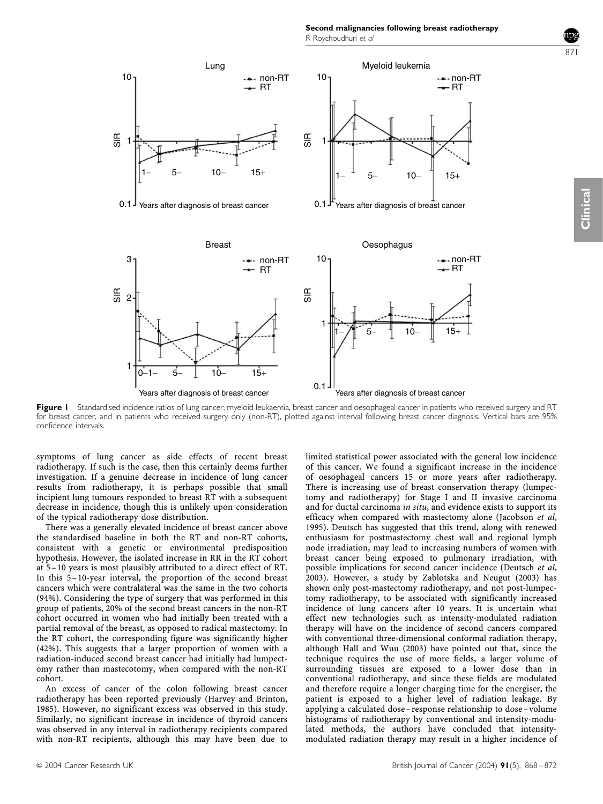

Years after diagnosis of breast cancer Years after diagnosis of breast cancer

Figure I Standardised incidence ratios of lung cancer, myeloid leukaemia, breast cancer and oesophageal cancer in patients who received surgery and RT for breast cancer, and in patients who received surgery only (non-RT), plotted against interval following breast cancer diagnosis. Vertical bars are 95% confidence intervals.

symptoms of lung cancer as side effects of recent breast radiotherapy. If such is the case, then this certainly deems further investigation. If a genuine decrease in incidence of lung cancer results from radiotherapy, it is perhaps possible that small incipient lung tumours responded to breast RT with a subsequent decrease in incidence, though this is unlikely upon consideration of the typical radiotherapy dose distribution.

There was a generally elevated incidence of breast cancer above the standardised baseline in both the RT and non-RT cohorts, consistent with a genetic or environmental predisposition hypothesis. However, the isolated increase in RR in the RT cohort at 5 –10 years is most plausibly attributed to a direct effect of RT. In this 5 –10-year interval, the proportion of the second breast cancers which were contralateral was the same in the two cohorts (94%). Considering the type of surgery that was performed in this group of patients, 20% of the second breast cancers in the non-RT cohort occurred in women who had initially been treated with a partial removal of the breast, as opposed to radical mastectomy. In the RT cohort, the corresponding figure was significantly higher (42%). This suggests that a larger proportion of women with a radiation-induced second breast cancer had initially had lumpectomy rather than mastecotomy, when compared with the non-RT cohort.

An excess of cancer of the colon following breast cancer radiotherapy has been reported previously (Harvey and Brinton, 1985). However, no significant excess was observed in this study. Similarly, no significant increase in incidence of thyroid cancers was observed in any interval in radiotherapy recipients compared with non-RT recipients, although this may have been due to

limited statistical power associated with the general low incidence of this cancer. We found a significant increase in the incidence of oesophageal cancers 15 or more years after radiotherapy. There is increasing use of breast conservation therapy (lumpectomy and radiotherapy) for Stage I and II invasive carcinoma and for ductal carcinoma in situ, and evidence exists to support its efficacy when compared with mastectomy alone (Jacobson et al, 1995). Deutsch has suggested that this trend, along with renewed enthusiasm for postmastectomy chest wall and regional lymph node irradiation, may lead to increasing numbers of women with breast cancer being exposed to pulmonary irradiation, with possible implications for second cancer incidence (Deutsch et al, 2003). However, a study by Zablotska and Neugut (2003) has shown only post-mastectomy radiotherapy, and not post-lumpectomy radiotherapy, to be associated with significantly increased incidence of lung cancers after 10 years. It is uncertain what effect new technologies such as intensity-modulated radiation therapy will have on the incidence of second cancers compared with conventional three-dimensional conformal radiation therapy, although Hall and Wuu (2003) have pointed out that, since the technique requires the use of more fields, a larger volume of surrounding tissues are exposed to a lower dose than in conventional radiotherapy, and since these fields are modulated and therefore require a longer charging time for the energiser, the patient is exposed to a higher level of radiation leakage. By applying a calculated dose – response relationship to dose –volume histograms of radiotherapy by conventional and intensity-modulated methods, the authors have concluded that intensitymodulated radiation therapy may result in a higher incidence of 871